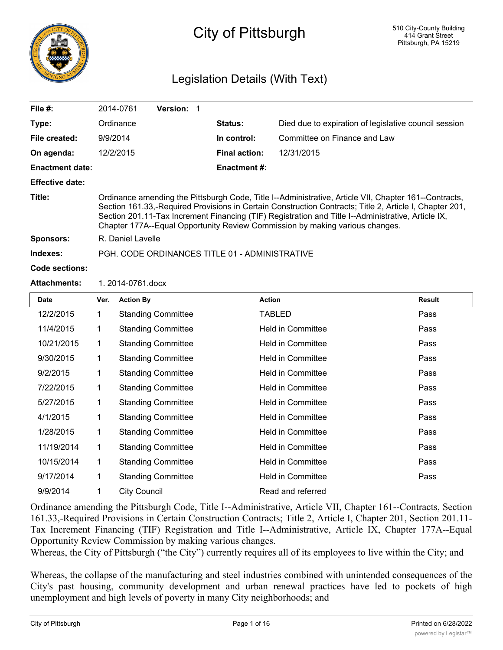

# City of Pittsburgh

# Legislation Details (With Text)

| <b>Date</b>            | Ver.<br><b>Action By</b>                                                                                                                                                                                                                                                                                                                                                                               |                 | <b>Action</b>        |                                                       | <b>Result</b> |  |
|------------------------|--------------------------------------------------------------------------------------------------------------------------------------------------------------------------------------------------------------------------------------------------------------------------------------------------------------------------------------------------------------------------------------------------------|-----------------|----------------------|-------------------------------------------------------|---------------|--|
| <b>Attachments:</b>    | 1. 2014-0761.docx                                                                                                                                                                                                                                                                                                                                                                                      |                 |                      |                                                       |               |  |
| Code sections:         |                                                                                                                                                                                                                                                                                                                                                                                                        |                 |                      |                                                       |               |  |
| Indexes:               | PGH, CODE ORDINANCES TITLE 01 - ADMINISTRATIVE                                                                                                                                                                                                                                                                                                                                                         |                 |                      |                                                       |               |  |
| <b>Sponsors:</b>       | R. Daniel Lavelle                                                                                                                                                                                                                                                                                                                                                                                      |                 |                      |                                                       |               |  |
| Title:                 | Ordinance amending the Pittsburgh Code, Title I--Administrative, Article VII, Chapter 161--Contracts,<br>Section 161.33,-Required Provisions in Certain Construction Contracts; Title 2, Article I, Chapter 201,<br>Section 201.11-Tax Increment Financing (TIF) Registration and Title I--Administrative, Article IX,<br>Chapter 177A--Equal Opportunity Review Commission by making various changes. |                 |                      |                                                       |               |  |
| <b>Effective date:</b> |                                                                                                                                                                                                                                                                                                                                                                                                        |                 |                      |                                                       |               |  |
| <b>Enactment date:</b> |                                                                                                                                                                                                                                                                                                                                                                                                        |                 | <b>Enactment #:</b>  |                                                       |               |  |
| On agenda:             | 12/2/2015                                                                                                                                                                                                                                                                                                                                                                                              |                 | <b>Final action:</b> | 12/31/2015                                            |               |  |
| File created:          | 9/9/2014                                                                                                                                                                                                                                                                                                                                                                                               |                 | In control:          | Committee on Finance and Law                          |               |  |
| Type:                  | Ordinance                                                                                                                                                                                                                                                                                                                                                                                              |                 | Status:              | Died due to expiration of legislative council session |               |  |
| File $#$ :             | 2014-0761                                                                                                                                                                                                                                                                                                                                                                                              | <b>Version:</b> |                      |                                                       |               |  |
|                        |                                                                                                                                                                                                                                                                                                                                                                                                        |                 |                      |                                                       |               |  |

| Date       | ver. | <b>Action By</b>          | Action                   | Result |
|------------|------|---------------------------|--------------------------|--------|
| 12/2/2015  | 1    | <b>Standing Committee</b> | TABLED                   | Pass   |
| 11/4/2015  | 1    | <b>Standing Committee</b> | <b>Held in Committee</b> | Pass   |
| 10/21/2015 | 1    | <b>Standing Committee</b> | <b>Held in Committee</b> | Pass   |
| 9/30/2015  | 1    | <b>Standing Committee</b> | <b>Held in Committee</b> | Pass   |
| 9/2/2015   | 1    | <b>Standing Committee</b> | <b>Held in Committee</b> | Pass   |
| 7/22/2015  | 1    | <b>Standing Committee</b> | <b>Held in Committee</b> | Pass   |
| 5/27/2015  | 1    | <b>Standing Committee</b> | <b>Held in Committee</b> | Pass   |
| 4/1/2015   | 1    | <b>Standing Committee</b> | <b>Held in Committee</b> | Pass   |
| 1/28/2015  | 1    | <b>Standing Committee</b> | <b>Held in Committee</b> | Pass   |
| 11/19/2014 | 1    | <b>Standing Committee</b> | <b>Held in Committee</b> | Pass   |
| 10/15/2014 | 1    | <b>Standing Committee</b> | <b>Held in Committee</b> | Pass   |
| 9/17/2014  | 1    | <b>Standing Committee</b> | <b>Held in Committee</b> | Pass   |
| 9/9/2014   | 1    | <b>City Council</b>       | Read and referred        |        |

Ordinance amending the Pittsburgh Code, Title I--Administrative, Article VII, Chapter 161--Contracts, Section 161.33,-Required Provisions in Certain Construction Contracts; Title 2, Article I, Chapter 201, Section 201.11- Tax Increment Financing (TIF) Registration and Title I--Administrative, Article IX, Chapter 177A--Equal Opportunity Review Commission by making various changes.

Whereas, the City of Pittsburgh ("the City") currently requires all of its employees to live within the City; and

Whereas, the collapse of the manufacturing and steel industries combined with unintended consequences of the City's past housing, community development and urban renewal practices have led to pockets of high unemployment and high levels of poverty in many City neighborhoods; and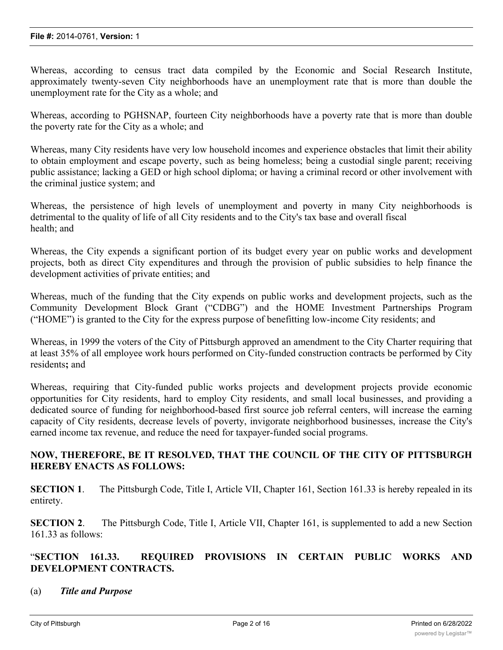Whereas, according to census tract data compiled by the Economic and Social Research Institute, approximately twenty-seven City neighborhoods have an unemployment rate that is more than double the unemployment rate for the City as a whole; and

Whereas, according to PGHSNAP, fourteen City neighborhoods have a poverty rate that is more than double the poverty rate for the City as a whole; and

Whereas, many City residents have very low household incomes and experience obstacles that limit their ability to obtain employment and escape poverty, such as being homeless; being a custodial single parent; receiving public assistance; lacking a GED or high school diploma; or having a criminal record or other involvement with the criminal justice system; and

Whereas, the persistence of high levels of unemployment and poverty in many City neighborhoods is detrimental to the quality of life of all City residents and to the City's tax base and overall fiscal health; and

Whereas, the City expends a significant portion of its budget every year on public works and development projects, both as direct City expenditures and through the provision of public subsidies to help finance the development activities of private entities; and

Whereas, much of the funding that the City expends on public works and development projects, such as the Community Development Block Grant ("CDBG") and the HOME Investment Partnerships Program ("HOME") is granted to the City for the express purpose of benefitting low-income City residents; and

Whereas, in 1999 the voters of the City of Pittsburgh approved an amendment to the City Charter requiring that at least 35% of all employee work hours performed on City-funded construction contracts be performed by City residents**;** and

Whereas, requiring that City-funded public works projects and development projects provide economic opportunities for City residents, hard to employ City residents, and small local businesses, and providing a dedicated source of funding for neighborhood-based first source job referral centers, will increase the earning capacity of City residents, decrease levels of poverty, invigorate neighborhood businesses, increase the City's earned income tax revenue, and reduce the need for taxpayer-funded social programs.

# **NOW, THEREFORE, BE IT RESOLVED, THAT THE COUNCIL OF THE CITY OF PITTSBURGH HEREBY ENACTS AS FOLLOWS:**

**SECTION 1.** The Pittsburgh Code, Title I, Article VII, Chapter 161, Section 161.33 is hereby repealed in its entirety.

**SECTION 2.** The Pittsburgh Code, Title I, Article VII, Chapter 161, is supplemented to add a new Section 161.33 as follows:

# "**SECTION 161.33. REQUIRED PROVISIONS IN CERTAIN PUBLIC WORKS AND DEVELOPMENT CONTRACTS.**

(a) *Title and Purpose*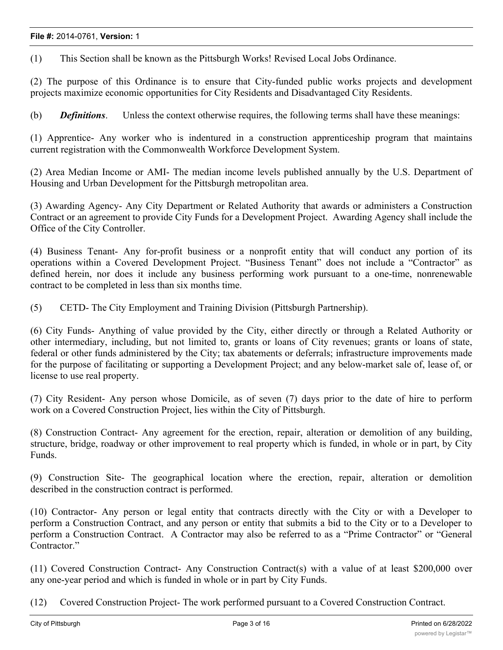(1) This Section shall be known as the Pittsburgh Works! Revised Local Jobs Ordinance.

(2) The purpose of this Ordinance is to ensure that City-funded public works projects and development projects maximize economic opportunities for City Residents and Disadvantaged City Residents.

(b) *Definitions*. Unless the context otherwise requires, the following terms shall have these meanings:

(1) Apprentice- Any worker who is indentured in a construction apprenticeship program that maintains current registration with the Commonwealth Workforce Development System.

(2) Area Median Income or AMI- The median income levels published annually by the U.S. Department of Housing and Urban Development for the Pittsburgh metropolitan area.

(3) Awarding Agency- Any City Department or Related Authority that awards or administers a Construction Contract or an agreement to provide City Funds for a Development Project. Awarding Agency shall include the Office of the City Controller.

(4) Business Tenant- Any for-profit business or a nonprofit entity that will conduct any portion of its operations within a Covered Development Project. "Business Tenant" does not include a "Contractor" as defined herein, nor does it include any business performing work pursuant to a one-time, nonrenewable contract to be completed in less than six months time.

(5) CETD- The City Employment and Training Division (Pittsburgh Partnership).

(6) City Funds- Anything of value provided by the City, either directly or through a Related Authority or other intermediary, including, but not limited to, grants or loans of City revenues; grants or loans of state, federal or other funds administered by the City; tax abatements or deferrals; infrastructure improvements made for the purpose of facilitating or supporting a Development Project; and any below-market sale of, lease of, or license to use real property.

(7) City Resident- Any person whose Domicile, as of seven (7) days prior to the date of hire to perform work on a Covered Construction Project, lies within the City of Pittsburgh.

(8) Construction Contract- Any agreement for the erection, repair, alteration or demolition of any building, structure, bridge, roadway or other improvement to real property which is funded, in whole or in part, by City Funds.

(9) Construction Site- The geographical location where the erection, repair, alteration or demolition described in the construction contract is performed.

(10) Contractor- Any person or legal entity that contracts directly with the City or with a Developer to perform a Construction Contract, and any person or entity that submits a bid to the City or to a Developer to perform a Construction Contract. A Contractor may also be referred to as a "Prime Contractor" or "General Contractor."

(11) Covered Construction Contract- Any Construction Contract(s) with a value of at least \$200,000 over any one-year period and which is funded in whole or in part by City Funds.

(12) Covered Construction Project- The work performed pursuant to a Covered Construction Contract.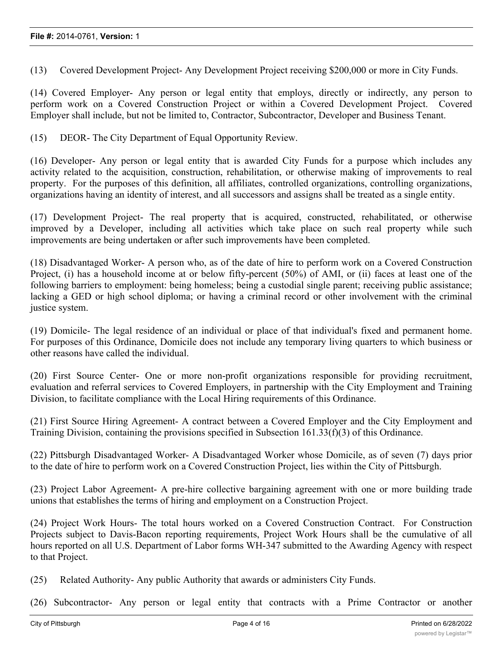(13) Covered Development Project- Any Development Project receiving \$200,000 or more in City Funds.

(14) Covered Employer- Any person or legal entity that employs, directly or indirectly, any person to perform work on a Covered Construction Project or within a Covered Development Project. Covered Employer shall include, but not be limited to, Contractor, Subcontractor, Developer and Business Tenant.

(15) DEOR- The City Department of Equal Opportunity Review.

(16) Developer- Any person or legal entity that is awarded City Funds for a purpose which includes any activity related to the acquisition, construction, rehabilitation, or otherwise making of improvements to real property. For the purposes of this definition, all affiliates, controlled organizations, controlling organizations, organizations having an identity of interest, and all successors and assigns shall be treated as a single entity.

(17) Development Project- The real property that is acquired, constructed, rehabilitated, or otherwise improved by a Developer, including all activities which take place on such real property while such improvements are being undertaken or after such improvements have been completed.

(18) Disadvantaged Worker- A person who, as of the date of hire to perform work on a Covered Construction Project, (i) has a household income at or below fifty-percent (50%) of AMI, or (ii) faces at least one of the following barriers to employment: being homeless; being a custodial single parent; receiving public assistance; lacking a GED or high school diploma; or having a criminal record or other involvement with the criminal justice system.

(19) Domicile- The legal residence of an individual or place of that individual's fixed and permanent home. For purposes of this Ordinance, Domicile does not include any temporary living quarters to which business or other reasons have called the individual.

(20) First Source Center- One or more non-profit organizations responsible for providing recruitment, evaluation and referral services to Covered Employers, in partnership with the City Employment and Training Division, to facilitate compliance with the Local Hiring requirements of this Ordinance.

(21) First Source Hiring Agreement- A contract between a Covered Employer and the City Employment and Training Division, containing the provisions specified in Subsection 161.33(f)(3) of this Ordinance.

(22) Pittsburgh Disadvantaged Worker- A Disadvantaged Worker whose Domicile, as of seven (7) days prior to the date of hire to perform work on a Covered Construction Project, lies within the City of Pittsburgh.

(23) Project Labor Agreement- A pre-hire collective bargaining agreement with one or more building trade unions that establishes the terms of hiring and employment on a Construction Project.

(24) Project Work Hours- The total hours worked on a Covered Construction Contract. For Construction Projects subject to Davis-Bacon reporting requirements, Project Work Hours shall be the cumulative of all hours reported on all U.S. Department of Labor forms WH-347 submitted to the Awarding Agency with respect to that Project.

(25) Related Authority- Any public Authority that awards or administers City Funds.

(26) Subcontractor- Any person or legal entity that contracts with a Prime Contractor or another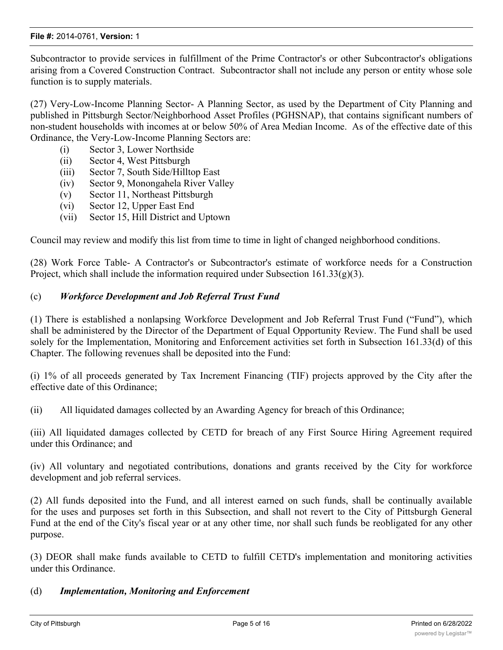Subcontractor to provide services in fulfillment of the Prime Contractor's or other Subcontractor's obligations arising from a Covered Construction Contract. Subcontractor shall not include any person or entity whose sole function is to supply materials.

(27) Very-Low-Income Planning Sector- A Planning Sector, as used by the Department of City Planning and published in Pittsburgh Sector/Neighborhood Asset Profiles (PGHSNAP), that contains significant numbers of non-student households with incomes at or below 50% of Area Median Income. As of the effective date of this Ordinance, the Very-Low-Income Planning Sectors are:

- (i) Sector 3, Lower Northside
- (ii) Sector 4, West Pittsburgh
- (iii) Sector 7, South Side/Hilltop East
- (iv) Sector 9, Monongahela River Valley
- (v) Sector 11, Northeast Pittsburgh
- (vi) Sector 12, Upper East End
- (vii) Sector 15, Hill District and Uptown

Council may review and modify this list from time to time in light of changed neighborhood conditions.

(28) Work Force Table- A Contractor's or Subcontractor's estimate of workforce needs for a Construction Project, which shall include the information required under Subsection  $161.33(g)(3)$ .

# (c) *Workforce Development and Job Referral Trust Fund*

(1) There is established a nonlapsing Workforce Development and Job Referral Trust Fund ("Fund"), which shall be administered by the Director of the Department of Equal Opportunity Review. The Fund shall be used solely for the Implementation, Monitoring and Enforcement activities set forth in Subsection 161.33(d) of this Chapter. The following revenues shall be deposited into the Fund:

(i) 1% of all proceeds generated by Tax Increment Financing (TIF) projects approved by the City after the effective date of this Ordinance;

(ii) All liquidated damages collected by an Awarding Agency for breach of this Ordinance;

(iii) All liquidated damages collected by CETD for breach of any First Source Hiring Agreement required under this Ordinance; and

(iv) All voluntary and negotiated contributions, donations and grants received by the City for workforce development and job referral services.

(2) All funds deposited into the Fund, and all interest earned on such funds, shall be continually available for the uses and purposes set forth in this Subsection, and shall not revert to the City of Pittsburgh General Fund at the end of the City's fiscal year or at any other time, nor shall such funds be reobligated for any other purpose.

(3) DEOR shall make funds available to CETD to fulfill CETD's implementation and monitoring activities under this Ordinance.

#### (d) *Implementation, Monitoring and Enforcement*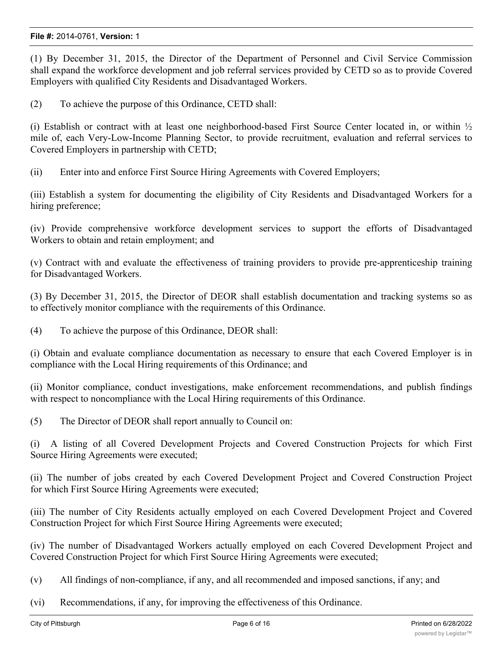(1) By December 31, 2015, the Director of the Department of Personnel and Civil Service Commission shall expand the workforce development and job referral services provided by CETD so as to provide Covered Employers with qualified City Residents and Disadvantaged Workers.

(2) To achieve the purpose of this Ordinance, CETD shall:

(i) Establish or contract with at least one neighborhood-based First Source Center located in, or within  $\frac{1}{2}$ mile of, each Very-Low-Income Planning Sector, to provide recruitment, evaluation and referral services to Covered Employers in partnership with CETD;

(ii) Enter into and enforce First Source Hiring Agreements with Covered Employers;

(iii) Establish a system for documenting the eligibility of City Residents and Disadvantaged Workers for a hiring preference;

(iv) Provide comprehensive workforce development services to support the efforts of Disadvantaged Workers to obtain and retain employment; and

(v) Contract with and evaluate the effectiveness of training providers to provide pre-apprenticeship training for Disadvantaged Workers.

(3) By December 31, 2015, the Director of DEOR shall establish documentation and tracking systems so as to effectively monitor compliance with the requirements of this Ordinance.

(4) To achieve the purpose of this Ordinance, DEOR shall:

(i) Obtain and evaluate compliance documentation as necessary to ensure that each Covered Employer is in compliance with the Local Hiring requirements of this Ordinance; and

(ii) Monitor compliance, conduct investigations, make enforcement recommendations, and publish findings with respect to noncompliance with the Local Hiring requirements of this Ordinance.

(5) The Director of DEOR shall report annually to Council on:

(i) A listing of all Covered Development Projects and Covered Construction Projects for which First Source Hiring Agreements were executed;

(ii) The number of jobs created by each Covered Development Project and Covered Construction Project for which First Source Hiring Agreements were executed;

(iii) The number of City Residents actually employed on each Covered Development Project and Covered Construction Project for which First Source Hiring Agreements were executed;

(iv) The number of Disadvantaged Workers actually employed on each Covered Development Project and Covered Construction Project for which First Source Hiring Agreements were executed;

- (v) All findings of non-compliance, if any, and all recommended and imposed sanctions, if any; and
- (vi) Recommendations, if any, for improving the effectiveness of this Ordinance.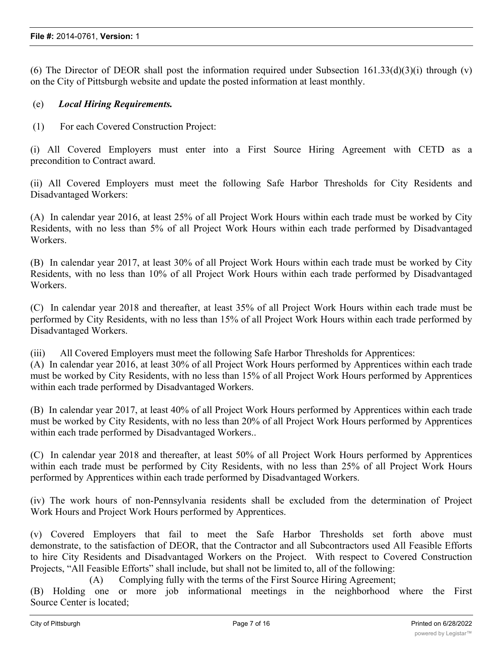(6) The Director of DEOR shall post the information required under Subsection  $161.33(d)(3)(i)$  through (v) on the City of Pittsburgh website and update the posted information at least monthly.

#### (e) *Local Hiring Requirements.*

(1) For each Covered Construction Project:

(i) All Covered Employers must enter into a First Source Hiring Agreement with CETD as a precondition to Contract award.

(ii) All Covered Employers must meet the following Safe Harbor Thresholds for City Residents and Disadvantaged Workers:

(A) In calendar year 2016, at least 25% of all Project Work Hours within each trade must be worked by City Residents, with no less than 5% of all Project Work Hours within each trade performed by Disadvantaged Workers.

(B) In calendar year 2017, at least 30% of all Project Work Hours within each trade must be worked by City Residents, with no less than 10% of all Project Work Hours within each trade performed by Disadvantaged Workers.

(C) In calendar year 2018 and thereafter, at least 35% of all Project Work Hours within each trade must be performed by City Residents, with no less than 15% of all Project Work Hours within each trade performed by Disadvantaged Workers.

(iii) All Covered Employers must meet the following Safe Harbor Thresholds for Apprentices: (A) In calendar year 2016, at least 30% of all Project Work Hours performed by Apprentices within each trade must be worked by City Residents, with no less than 15% of all Project Work Hours performed by Apprentices within each trade performed by Disadvantaged Workers.

(B) In calendar year 2017, at least 40% of all Project Work Hours performed by Apprentices within each trade must be worked by City Residents, with no less than 20% of all Project Work Hours performed by Apprentices within each trade performed by Disadvantaged Workers..

(C) In calendar year 2018 and thereafter, at least 50% of all Project Work Hours performed by Apprentices within each trade must be performed by City Residents, with no less than 25% of all Project Work Hours performed by Apprentices within each trade performed by Disadvantaged Workers.

(iv) The work hours of non-Pennsylvania residents shall be excluded from the determination of Project Work Hours and Project Work Hours performed by Apprentices.

(v) Covered Employers that fail to meet the Safe Harbor Thresholds set forth above must demonstrate, to the satisfaction of DEOR, that the Contractor and all Subcontractors used All Feasible Efforts to hire City Residents and Disadvantaged Workers on the Project. With respect to Covered Construction Projects, "All Feasible Efforts" shall include, but shall not be limited to, all of the following:

(A) Complying fully with the terms of the First Source Hiring Agreement;

(B) Holding one or more job informational meetings in the neighborhood where the First Source Center is located;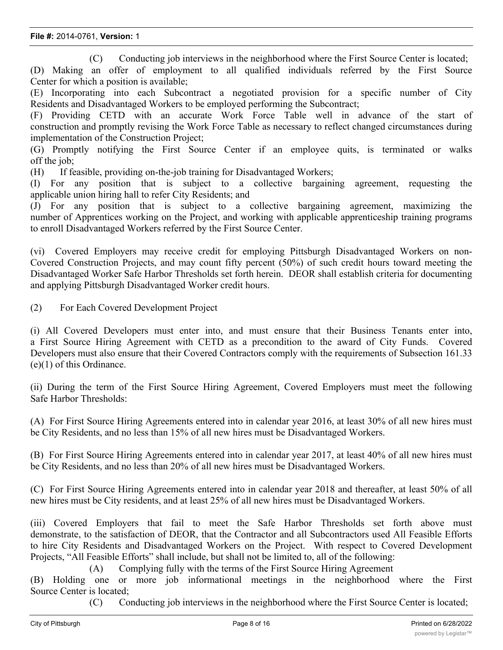(C) Conducting job interviews in the neighborhood where the First Source Center is located;

(D) Making an offer of employment to all qualified individuals referred by the First Source Center for which a position is available;

(E) Incorporating into each Subcontract a negotiated provision for a specific number of City Residents and Disadvantaged Workers to be employed performing the Subcontract;

(F) Providing CETD with an accurate Work Force Table well in advance of the start of construction and promptly revising the Work Force Table as necessary to reflect changed circumstances during implementation of the Construction Project;

(G) Promptly notifying the First Source Center if an employee quits, is terminated or walks off the job;

(H) If feasible, providing on-the-job training for Disadvantaged Workers;

(I) For any position that is subject to a collective bargaining agreement, requesting the applicable union hiring hall to refer City Residents; and

(J) For any position that is subject to a collective bargaining agreement, maximizing the number of Apprentices working on the Project, and working with applicable apprenticeship training programs to enroll Disadvantaged Workers referred by the First Source Center.

(vi) Covered Employers may receive credit for employing Pittsburgh Disadvantaged Workers on non-Covered Construction Projects, and may count fifty percent (50%) of such credit hours toward meeting the Disadvantaged Worker Safe Harbor Thresholds set forth herein. DEOR shall establish criteria for documenting and applying Pittsburgh Disadvantaged Worker credit hours.

(2) For Each Covered Development Project

(i) All Covered Developers must enter into, and must ensure that their Business Tenants enter into, a First Source Hiring Agreement with CETD as a precondition to the award of City Funds. Covered Developers must also ensure that their Covered Contractors comply with the requirements of Subsection 161.33 (e)(1) of this Ordinance.

(ii) During the term of the First Source Hiring Agreement, Covered Employers must meet the following Safe Harbor Thresholds:

(A) For First Source Hiring Agreements entered into in calendar year 2016, at least 30% of all new hires must be City Residents, and no less than 15% of all new hires must be Disadvantaged Workers.

(B) For First Source Hiring Agreements entered into in calendar year 2017, at least 40% of all new hires must be City Residents, and no less than 20% of all new hires must be Disadvantaged Workers.

(C) For First Source Hiring Agreements entered into in calendar year 2018 and thereafter, at least 50% of all new hires must be City residents, and at least 25% of all new hires must be Disadvantaged Workers.

(iii) Covered Employers that fail to meet the Safe Harbor Thresholds set forth above must demonstrate, to the satisfaction of DEOR, that the Contractor and all Subcontractors used All Feasible Efforts to hire City Residents and Disadvantaged Workers on the Project. With respect to Covered Development Projects, "All Feasible Efforts" shall include, but shall not be limited to, all of the following:

(A) Complying fully with the terms of the First Source Hiring Agreement

(B) Holding one or more job informational meetings in the neighborhood where the First Source Center is located;

(C) Conducting job interviews in the neighborhood where the First Source Center is located;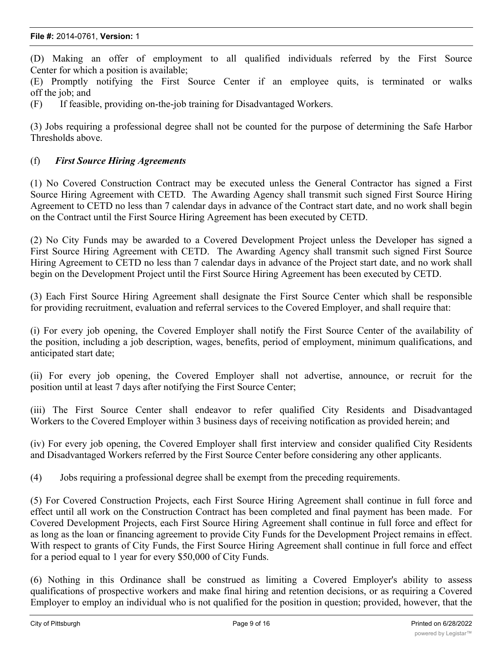#### **File #:** 2014-0761, **Version:** 1

(D) Making an offer of employment to all qualified individuals referred by the First Source Center for which a position is available;

(E) Promptly notifying the First Source Center if an employee quits, is terminated or walks off the job; and

(F) If feasible, providing on-the-job training for Disadvantaged Workers.

(3) Jobs requiring a professional degree shall not be counted for the purpose of determining the Safe Harbor Thresholds above.

#### (f) *First Source Hiring Agreements*

(1) No Covered Construction Contract may be executed unless the General Contractor has signed a First Source Hiring Agreement with CETD. The Awarding Agency shall transmit such signed First Source Hiring Agreement to CETD no less than 7 calendar days in advance of the Contract start date, and no work shall begin on the Contract until the First Source Hiring Agreement has been executed by CETD.

(2) No City Funds may be awarded to a Covered Development Project unless the Developer has signed a First Source Hiring Agreement with CETD. The Awarding Agency shall transmit such signed First Source Hiring Agreement to CETD no less than 7 calendar days in advance of the Project start date, and no work shall begin on the Development Project until the First Source Hiring Agreement has been executed by CETD.

(3) Each First Source Hiring Agreement shall designate the First Source Center which shall be responsible for providing recruitment, evaluation and referral services to the Covered Employer, and shall require that:

(i) For every job opening, the Covered Employer shall notify the First Source Center of the availability of the position, including a job description, wages, benefits, period of employment, minimum qualifications, and anticipated start date;

(ii) For every job opening, the Covered Employer shall not advertise, announce, or recruit for the position until at least 7 days after notifying the First Source Center;

(iii) The First Source Center shall endeavor to refer qualified City Residents and Disadvantaged Workers to the Covered Employer within 3 business days of receiving notification as provided herein; and

(iv) For every job opening, the Covered Employer shall first interview and consider qualified City Residents and Disadvantaged Workers referred by the First Source Center before considering any other applicants.

(4) Jobs requiring a professional degree shall be exempt from the preceding requirements.

(5) For Covered Construction Projects, each First Source Hiring Agreement shall continue in full force and effect until all work on the Construction Contract has been completed and final payment has been made. For Covered Development Projects, each First Source Hiring Agreement shall continue in full force and effect for as long as the loan or financing agreement to provide City Funds for the Development Project remains in effect. With respect to grants of City Funds, the First Source Hiring Agreement shall continue in full force and effect for a period equal to 1 year for every \$50,000 of City Funds.

(6) Nothing in this Ordinance shall be construed as limiting a Covered Employer's ability to assess qualifications of prospective workers and make final hiring and retention decisions, or as requiring a Covered Employer to employ an individual who is not qualified for the position in question; provided, however, that the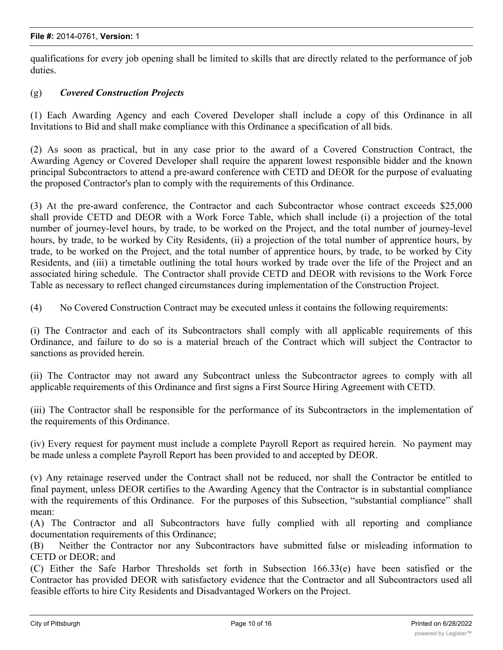qualifications for every job opening shall be limited to skills that are directly related to the performance of job duties.

# (g) *Covered Construction Projects*

(1) Each Awarding Agency and each Covered Developer shall include a copy of this Ordinance in all Invitations to Bid and shall make compliance with this Ordinance a specification of all bids.

(2) As soon as practical, but in any case prior to the award of a Covered Construction Contract, the Awarding Agency or Covered Developer shall require the apparent lowest responsible bidder and the known principal Subcontractors to attend a pre-award conference with CETD and DEOR for the purpose of evaluating the proposed Contractor's plan to comply with the requirements of this Ordinance.

(3) At the pre-award conference, the Contractor and each Subcontractor whose contract exceeds \$25,000 shall provide CETD and DEOR with a Work Force Table, which shall include (i) a projection of the total number of journey-level hours, by trade, to be worked on the Project, and the total number of journey-level hours, by trade, to be worked by City Residents, (ii) a projection of the total number of apprentice hours, by trade, to be worked on the Project, and the total number of apprentice hours, by trade, to be worked by City Residents, and (iii) a timetable outlining the total hours worked by trade over the life of the Project and an associated hiring schedule. The Contractor shall provide CETD and DEOR with revisions to the Work Force Table as necessary to reflect changed circumstances during implementation of the Construction Project.

(4) No Covered Construction Contract may be executed unless it contains the following requirements:

(i) The Contractor and each of its Subcontractors shall comply with all applicable requirements of this Ordinance, and failure to do so is a material breach of the Contract which will subject the Contractor to sanctions as provided herein.

(ii) The Contractor may not award any Subcontract unless the Subcontractor agrees to comply with all applicable requirements of this Ordinance and first signs a First Source Hiring Agreement with CETD.

(iii) The Contractor shall be responsible for the performance of its Subcontractors in the implementation of the requirements of this Ordinance.

(iv) Every request for payment must include a complete Payroll Report as required herein. No payment may be made unless a complete Payroll Report has been provided to and accepted by DEOR.

(v) Any retainage reserved under the Contract shall not be reduced, nor shall the Contractor be entitled to final payment, unless DEOR certifies to the Awarding Agency that the Contractor is in substantial compliance with the requirements of this Ordinance. For the purposes of this Subsection, "substantial compliance" shall mean:

(A) The Contractor and all Subcontractors have fully complied with all reporting and compliance documentation requirements of this Ordinance;

(B) Neither the Contractor nor any Subcontractors have submitted false or misleading information to CETD or DEOR; and

(C) Either the Safe Harbor Thresholds set forth in Subsection 166.33(e) have been satisfied or the Contractor has provided DEOR with satisfactory evidence that the Contractor and all Subcontractors used all feasible efforts to hire City Residents and Disadvantaged Workers on the Project.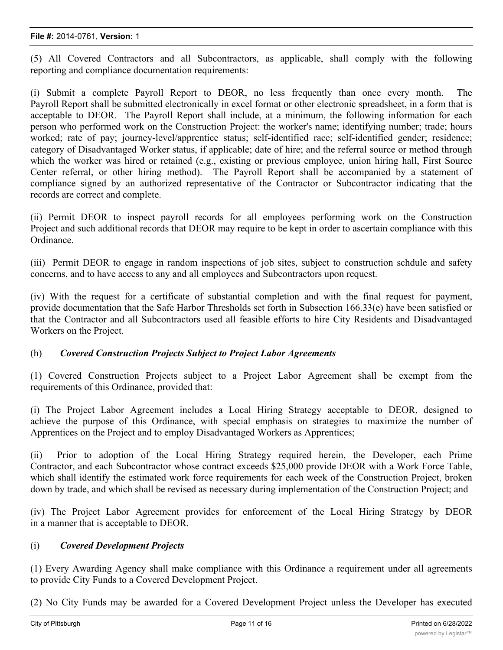#### **File #:** 2014-0761, **Version:** 1

(5) All Covered Contractors and all Subcontractors, as applicable, shall comply with the following reporting and compliance documentation requirements:

(i) Submit a complete Payroll Report to DEOR, no less frequently than once every month. The Payroll Report shall be submitted electronically in excel format or other electronic spreadsheet, in a form that is acceptable to DEOR. The Payroll Report shall include, at a minimum, the following information for each person who performed work on the Construction Project: the worker's name; identifying number; trade; hours worked; rate of pay; journey-level/apprentice status; self-identified race; self-identified gender; residence; category of Disadvantaged Worker status, if applicable; date of hire; and the referral source or method through which the worker was hired or retained (e.g., existing or previous employee, union hiring hall, First Source Center referral, or other hiring method). The Payroll Report shall be accompanied by a statement of compliance signed by an authorized representative of the Contractor or Subcontractor indicating that the records are correct and complete.

(ii) Permit DEOR to inspect payroll records for all employees performing work on the Construction Project and such additional records that DEOR may require to be kept in order to ascertain compliance with this Ordinance.

(iii) Permit DEOR to engage in random inspections of job sites, subject to construction schdule and safety concerns, and to have access to any and all employees and Subcontractors upon request.

(iv) With the request for a certificate of substantial completion and with the final request for payment, provide documentation that the Safe Harbor Thresholds set forth in Subsection 166.33(e) have been satisfied or that the Contractor and all Subcontractors used all feasible efforts to hire City Residents and Disadvantaged Workers on the Project.

#### (h) *Covered Construction Projects Subject to Project Labor Agreements*

(1) Covered Construction Projects subject to a Project Labor Agreement shall be exempt from the requirements of this Ordinance, provided that:

(i) The Project Labor Agreement includes a Local Hiring Strategy acceptable to DEOR, designed to achieve the purpose of this Ordinance, with special emphasis on strategies to maximize the number of Apprentices on the Project and to employ Disadvantaged Workers as Apprentices;

(ii) Prior to adoption of the Local Hiring Strategy required herein, the Developer, each Prime Contractor, and each Subcontractor whose contract exceeds \$25,000 provide DEOR with a Work Force Table, which shall identify the estimated work force requirements for each week of the Construction Project, broken down by trade, and which shall be revised as necessary during implementation of the Construction Project; and

(iv) The Project Labor Agreement provides for enforcement of the Local Hiring Strategy by DEOR in a manner that is acceptable to DEOR.

#### (i) *Covered Development Projects*

(1) Every Awarding Agency shall make compliance with this Ordinance a requirement under all agreements to provide City Funds to a Covered Development Project.

(2) No City Funds may be awarded for a Covered Development Project unless the Developer has executed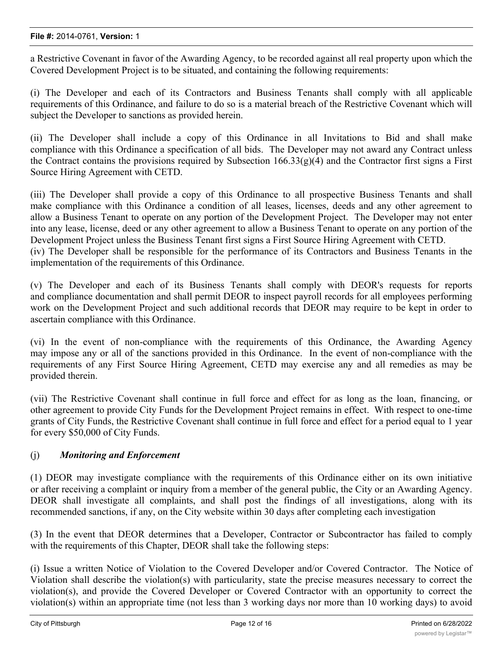#### **File #:** 2014-0761, **Version:** 1

a Restrictive Covenant in favor of the Awarding Agency, to be recorded against all real property upon which the Covered Development Project is to be situated, and containing the following requirements:

(i) The Developer and each of its Contractors and Business Tenants shall comply with all applicable requirements of this Ordinance, and failure to do so is a material breach of the Restrictive Covenant which will subject the Developer to sanctions as provided herein.

(ii) The Developer shall include a copy of this Ordinance in all Invitations to Bid and shall make compliance with this Ordinance a specification of all bids. The Developer may not award any Contract unless the Contract contains the provisions required by Subsection 166.33(g)(4) and the Contractor first signs a First Source Hiring Agreement with CETD.

(iii) The Developer shall provide a copy of this Ordinance to all prospective Business Tenants and shall make compliance with this Ordinance a condition of all leases, licenses, deeds and any other agreement to allow a Business Tenant to operate on any portion of the Development Project. The Developer may not enter into any lease, license, deed or any other agreement to allow a Business Tenant to operate on any portion of the Development Project unless the Business Tenant first signs a First Source Hiring Agreement with CETD. (iv) The Developer shall be responsible for the performance of its Contractors and Business Tenants in the implementation of the requirements of this Ordinance.

(v) The Developer and each of its Business Tenants shall comply with DEOR's requests for reports and compliance documentation and shall permit DEOR to inspect payroll records for all employees performing work on the Development Project and such additional records that DEOR may require to be kept in order to ascertain compliance with this Ordinance.

(vi) In the event of non-compliance with the requirements of this Ordinance, the Awarding Agency may impose any or all of the sanctions provided in this Ordinance. In the event of non-compliance with the requirements of any First Source Hiring Agreement, CETD may exercise any and all remedies as may be provided therein.

(vii) The Restrictive Covenant shall continue in full force and effect for as long as the loan, financing, or other agreement to provide City Funds for the Development Project remains in effect. With respect to one-time grants of City Funds, the Restrictive Covenant shall continue in full force and effect for a period equal to 1 year for every \$50,000 of City Funds.

#### (j) *Monitoring and Enforcement*

(1) DEOR may investigate compliance with the requirements of this Ordinance either on its own initiative or after receiving a complaint or inquiry from a member of the general public, the City or an Awarding Agency. DEOR shall investigate all complaints, and shall post the findings of all investigations, along with its recommended sanctions, if any, on the City website within 30 days after completing each investigation

(3) In the event that DEOR determines that a Developer, Contractor or Subcontractor has failed to comply with the requirements of this Chapter, DEOR shall take the following steps:

(i) Issue a written Notice of Violation to the Covered Developer and/or Covered Contractor. The Notice of Violation shall describe the violation(s) with particularity, state the precise measures necessary to correct the violation(s), and provide the Covered Developer or Covered Contractor with an opportunity to correct the violation(s) within an appropriate time (not less than 3 working days nor more than 10 working days) to avoid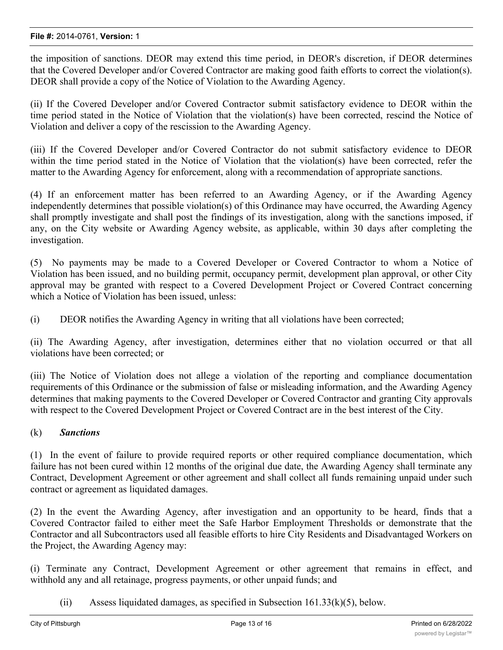the imposition of sanctions. DEOR may extend this time period, in DEOR's discretion, if DEOR determines that the Covered Developer and/or Covered Contractor are making good faith efforts to correct the violation(s). DEOR shall provide a copy of the Notice of Violation to the Awarding Agency.

(ii) If the Covered Developer and/or Covered Contractor submit satisfactory evidence to DEOR within the time period stated in the Notice of Violation that the violation(s) have been corrected, rescind the Notice of Violation and deliver a copy of the rescission to the Awarding Agency.

(iii) If the Covered Developer and/or Covered Contractor do not submit satisfactory evidence to DEOR within the time period stated in the Notice of Violation that the violation(s) have been corrected, refer the matter to the Awarding Agency for enforcement, along with a recommendation of appropriate sanctions.

(4) If an enforcement matter has been referred to an Awarding Agency, or if the Awarding Agency independently determines that possible violation(s) of this Ordinance may have occurred, the Awarding Agency shall promptly investigate and shall post the findings of its investigation, along with the sanctions imposed, if any, on the City website or Awarding Agency website, as applicable, within 30 days after completing the investigation.

(5) No payments may be made to a Covered Developer or Covered Contractor to whom a Notice of Violation has been issued, and no building permit, occupancy permit, development plan approval, or other City approval may be granted with respect to a Covered Development Project or Covered Contract concerning which a Notice of Violation has been issued, unless:

(i) DEOR notifies the Awarding Agency in writing that all violations have been corrected;

(ii) The Awarding Agency, after investigation, determines either that no violation occurred or that all violations have been corrected; or

(iii) The Notice of Violation does not allege a violation of the reporting and compliance documentation requirements of this Ordinance or the submission of false or misleading information, and the Awarding Agency determines that making payments to the Covered Developer or Covered Contractor and granting City approvals with respect to the Covered Development Project or Covered Contract are in the best interest of the City.

#### (k) *Sanctions*

(1) In the event of failure to provide required reports or other required compliance documentation, which failure has not been cured within 12 months of the original due date, the Awarding Agency shall terminate any Contract, Development Agreement or other agreement and shall collect all funds remaining unpaid under such contract or agreement as liquidated damages.

(2) In the event the Awarding Agency, after investigation and an opportunity to be heard, finds that a Covered Contractor failed to either meet the Safe Harbor Employment Thresholds or demonstrate that the Contractor and all Subcontractors used all feasible efforts to hire City Residents and Disadvantaged Workers on the Project, the Awarding Agency may:

(i) Terminate any Contract, Development Agreement or other agreement that remains in effect, and withhold any and all retainage, progress payments, or other unpaid funds; and

(ii) Assess liquidated damages, as specified in Subsection  $161.33(k)(5)$ , below.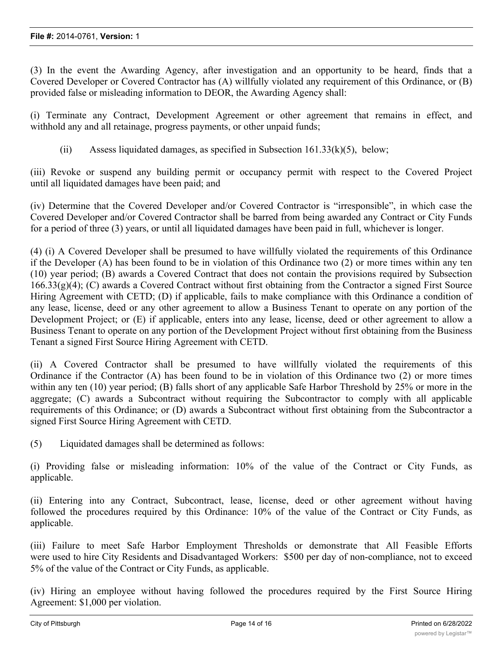(3) In the event the Awarding Agency, after investigation and an opportunity to be heard, finds that a Covered Developer or Covered Contractor has (A) willfully violated any requirement of this Ordinance, or (B) provided false or misleading information to DEOR, the Awarding Agency shall:

(i) Terminate any Contract, Development Agreement or other agreement that remains in effect, and withhold any and all retainage, progress payments, or other unpaid funds;

(ii) Assess liquidated damages, as specified in Subsection  $161.33(k)(5)$ , below;

(iii) Revoke or suspend any building permit or occupancy permit with respect to the Covered Project until all liquidated damages have been paid; and

(iv) Determine that the Covered Developer and/or Covered Contractor is "irresponsible", in which case the Covered Developer and/or Covered Contractor shall be barred from being awarded any Contract or City Funds for a period of three (3) years, or until all liquidated damages have been paid in full, whichever is longer.

(4) (i) A Covered Developer shall be presumed to have willfully violated the requirements of this Ordinance if the Developer (A) has been found to be in violation of this Ordinance two (2) or more times within any ten (10) year period; (B) awards a Covered Contract that does not contain the provisions required by Subsection  $166.33(g)(4)$ ; (C) awards a Covered Contract without first obtaining from the Contractor a signed First Source Hiring Agreement with CETD; (D) if applicable, fails to make compliance with this Ordinance a condition of any lease, license, deed or any other agreement to allow a Business Tenant to operate on any portion of the Development Project; or (E) if applicable, enters into any lease, license, deed or other agreement to allow a Business Tenant to operate on any portion of the Development Project without first obtaining from the Business Tenant a signed First Source Hiring Agreement with CETD.

(ii) A Covered Contractor shall be presumed to have willfully violated the requirements of this Ordinance if the Contractor (A) has been found to be in violation of this Ordinance two (2) or more times within any ten (10) year period; (B) falls short of any applicable Safe Harbor Threshold by 25% or more in the aggregate; (C) awards a Subcontract without requiring the Subcontractor to comply with all applicable requirements of this Ordinance; or (D) awards a Subcontract without first obtaining from the Subcontractor a signed First Source Hiring Agreement with CETD.

(5) Liquidated damages shall be determined as follows:

(i) Providing false or misleading information: 10% of the value of the Contract or City Funds, as applicable.

(ii) Entering into any Contract, Subcontract, lease, license, deed or other agreement without having followed the procedures required by this Ordinance: 10% of the value of the Contract or City Funds, as applicable.

(iii) Failure to meet Safe Harbor Employment Thresholds or demonstrate that All Feasible Efforts were used to hire City Residents and Disadvantaged Workers: \$500 per day of non-compliance, not to exceed 5% of the value of the Contract or City Funds, as applicable.

(iv) Hiring an employee without having followed the procedures required by the First Source Hiring Agreement: \$1,000 per violation.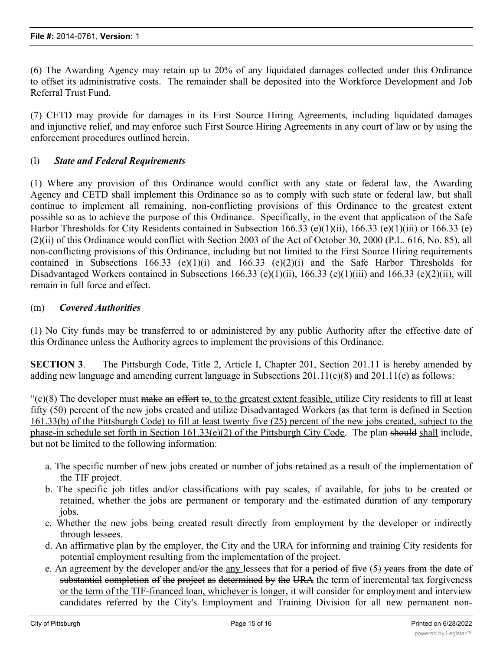(6) The Awarding Agency may retain up to 20% of any liquidated damages collected under this Ordinance to offset its administrative costs. The remainder shall be deposited into the Workforce Development and Job Referral Trust Fund.

(7) CETD may provide for damages in its First Source Hiring Agreements, including liquidated damages and injunctive relief, and may enforce such First Source Hiring Agreements in any court of law or by using the enforcement procedures outlined herein.

# (l) *State and Federal Requirements*

(1) Where any provision of this Ordinance would conflict with any state or federal law, the Awarding Agency and CETD shall implement this Ordinance so as to comply with such state or federal law, but shall continue to implement all remaining, non-conflicting provisions of this Ordinance to the greatest extent possible so as to achieve the purpose of this Ordinance. Specifically, in the event that application of the Safe Harbor Thresholds for City Residents contained in Subsection 166.33 (e)(1)(ii), 166.33 (e)(1)(iii) or 166.33 (e) (2)(ii) of this Ordinance would conflict with Section 2003 of the Act of October 30, 2000 (P.L. 616, No. 85), all non-conflicting provisions of this Ordinance, including but not limited to the First Source Hiring requirements contained in Subsections 166.33 (e)(1)(i) and 166.33 (e)(2)(i) and the Safe Harbor Thresholds for Disadvantaged Workers contained in Subsections 166.33 (e)(1)(ii), 166.33 (e)(1)(iii) and 166.33 (e)(2)(ii), will remain in full force and effect.

#### (m) *Covered Authorities*

(1) No City funds may be transferred to or administered by any public Authority after the effective date of this Ordinance unless the Authority agrees to implement the provisions of this Ordinance.

**SECTION 3.** The Pittsburgh Code, Title 2, Article I, Chapter 201, Section 201.11 is hereby amended by adding new language and amending current language in Subsections 201.11(c)(8) and 201.11(e) as follows:

 $\degree$ (c)(8) The developer must make an effort to, to the greatest extent feasible, utilize City residents to fill at least fifty (50) percent of the new jobs created and utilize Disadvantaged Workers (as that term is defined in Section 161.33(b) of the Pittsburgh Code) to fill at least twenty five (25) percent of the new jobs created, subject to the phase-in schedule set forth in Section 161.33(e)(2) of the Pittsburgh City Code. The plan should shall include, but not be limited to the following information:

- a. The specific number of new jobs created or number of jobs retained as a result of the implementation of the TIF project.
- b. The specific job titles and/or classifications with pay scales, if available, for jobs to be created or retained, whether the jobs are permanent or temporary and the estimated duration of any temporary jobs.
- c. Whether the new jobs being created result directly from employment by the developer or indirectly through lessees.
- d. An affirmative plan by the employer, the City and the URA for informing and training City residents for potential employment resulting from the implementation of the project.
- e. An agreement by the developer and/or the any lessees that for a period of five  $(5)$  years from the date of substantial completion of the project as determined by the URA the term of incremental tax forgiveness or the term of the TIF-financed loan, whichever is longer, it will consider for employment and interview candidates referred by the City's Employment and Training Division for all new permanent non-